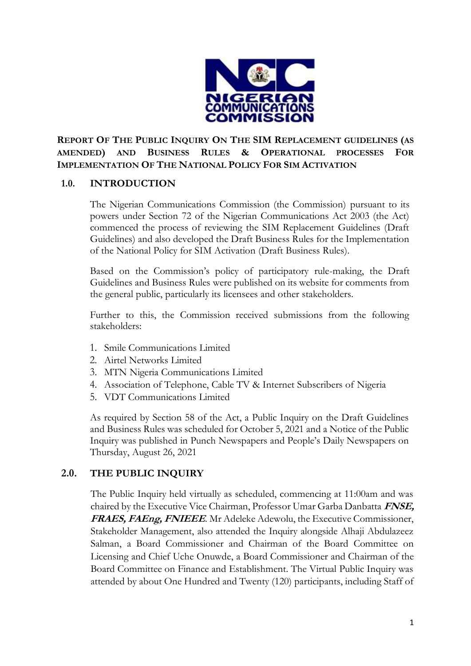

**REPORT OF THE PUBLIC INQUIRY ON THE SIM REPLACEMENT GUIDELINES (AS AMENDED) AND BUSINESS RULES & OPERATIONAL PROCESSES FOR IMPLEMENTATION OF THE NATIONAL POLICY FOR SIM ACTIVATION**

# **1.0. INTRODUCTION**

The Nigerian Communications Commission (the Commission) pursuant to its powers under Section 72 of the Nigerian Communications Act 2003 (the Act) commenced the process of reviewing the SIM Replacement Guidelines (Draft Guidelines) and also developed the Draft Business Rules for the Implementation of the National Policy for SIM Activation (Draft Business Rules).

Based on the Commission's policy of participatory rule-making, the Draft Guidelines and Business Rules were published on its website for comments from the general public, particularly its licensees and other stakeholders.

Further to this, the Commission received submissions from the following stakeholders:

- 1. Smile Communications Limited
- 2. Airtel Networks Limited
- 3. MTN Nigeria Communications Limited
- 4. Association of Telephone, Cable TV & Internet Subscribers of Nigeria
- 5. VDT Communications Limited

As required by Section 58 of the Act, a Public Inquiry on the Draft Guidelines and Business Rules was scheduled for October 5, 2021 and a Notice of the Public Inquiry was published in Punch Newspapers and People's Daily Newspapers on Thursday, August 26, 2021

# **2.0. THE PUBLIC INQUIRY**

The Public Inquiry held virtually as scheduled, commencing at 11:00am and was chaired by the Executive Vice Chairman, Professor Umar Garba Danbatta **FNSE, FRAES, FAEng, FNIEEE**. Mr Adeleke Adewolu, the Executive Commissioner, Stakeholder Management, also attended the Inquiry alongside Alhaji Abdulazeez Salman, a Board Commissioner and Chairman of the Board Committee on Licensing and Chief Uche Onuwde, a Board Commissioner and Chairman of the Board Committee on Finance and Establishment. The Virtual Public Inquiry was attended by about One Hundred and Twenty (120) participants, including Staff of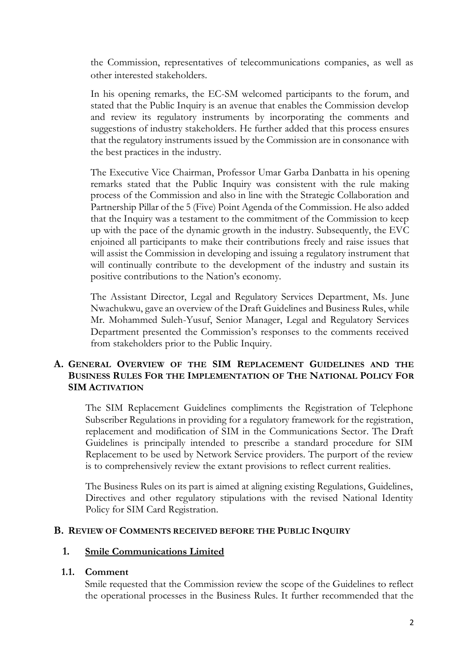the Commission, representatives of telecommunications companies, as well as other interested stakeholders.

In his opening remarks, the EC-SM welcomed participants to the forum, and stated that the Public Inquiry is an avenue that enables the Commission develop and review its regulatory instruments by incorporating the comments and suggestions of industry stakeholders. He further added that this process ensures that the regulatory instruments issued by the Commission are in consonance with the best practices in the industry.

The Executive Vice Chairman, Professor Umar Garba Danbatta in his opening remarks stated that the Public Inquiry was consistent with the rule making process of the Commission and also in line with the Strategic Collaboration and Partnership Pillar of the 5 (Five) Point Agenda of the Commission. He also added that the Inquiry was a testament to the commitment of the Commission to keep up with the pace of the dynamic growth in the industry. Subsequently, the EVC enjoined all participants to make their contributions freely and raise issues that will assist the Commission in developing and issuing a regulatory instrument that will continually contribute to the development of the industry and sustain its positive contributions to the Nation's economy.

The Assistant Director, Legal and Regulatory Services Department, Ms. June Nwachukwu, gave an overview of the Draft Guidelines and Business Rules, while Mr. Mohammed Suleh-Yusuf, Senior Manager, Legal and Regulatory Services Department presented the Commission's responses to the comments received from stakeholders prior to the Public Inquiry.

# **A. GENERAL OVERVIEW OF THE SIM REPLACEMENT GUIDELINES AND THE BUSINESS RULES FOR THE IMPLEMENTATION OF THE NATIONAL POLICY FOR SIM ACTIVATION**

The SIM Replacement Guidelines compliments the Registration of Telephone Subscriber Regulations in providing for a regulatory framework for the registration, replacement and modification of SIM in the Communications Sector. The Draft Guidelines is principally intended to prescribe a standard procedure for SIM Replacement to be used by Network Service providers. The purport of the review is to comprehensively review the extant provisions to reflect current realities.

The Business Rules on its part is aimed at aligning existing Regulations, Guidelines, Directives and other regulatory stipulations with the revised National Identity Policy for SIM Card Registration.

# **B. REVIEW OF COMMENTS RECEIVED BEFORE THE PUBLIC INQUIRY**

# **1. Smile Communications Limited**

#### **1.1. Comment**

Smile requested that the Commission review the scope of the Guidelines to reflect the operational processes in the Business Rules. It further recommended that the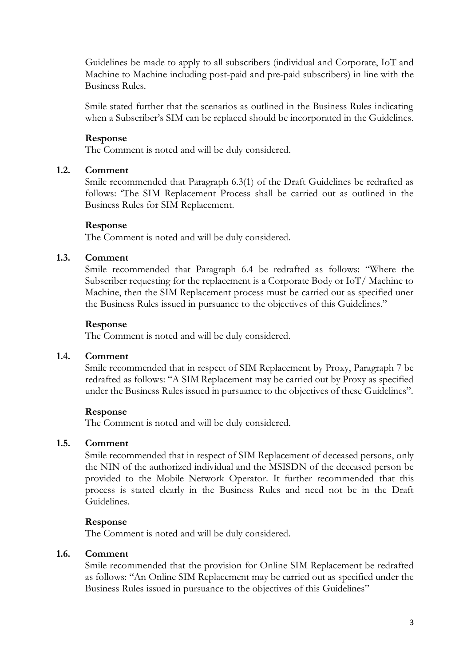Guidelines be made to apply to all subscribers (individual and Corporate, IoT and Machine to Machine including post-paid and pre-paid subscribers) in line with the Business Rules.

Smile stated further that the scenarios as outlined in the Business Rules indicating when a Subscriber's SIM can be replaced should be incorporated in the Guidelines.

# **Response**

The Comment is noted and will be duly considered.

# **1.2. Comment**

Smile recommended that Paragraph 6.3(1) of the Draft Guidelines be redrafted as follows: 'The SIM Replacement Process shall be carried out as outlined in the Business Rules for SIM Replacement.

#### **Response**

The Comment is noted and will be duly considered.

#### **1.3. Comment**

Smile recommended that Paragraph 6.4 be redrafted as follows: "Where the Subscriber requesting for the replacement is a Corporate Body or IoT/ Machine to Machine, then the SIM Replacement process must be carried out as specified uner the Business Rules issued in pursuance to the objectives of this Guidelines."

#### **Response**

The Comment is noted and will be duly considered.

# **1.4. Comment**

Smile recommended that in respect of SIM Replacement by Proxy, Paragraph 7 be redrafted as follows: "A SIM Replacement may be carried out by Proxy as specified under the Business Rules issued in pursuance to the objectives of these Guidelines".

# **Response**

The Comment is noted and will be duly considered.

# **1.5. Comment**

Smile recommended that in respect of SIM Replacement of deceased persons, only the NIN of the authorized individual and the MSISDN of the deceased person be provided to the Mobile Network Operator. It further recommended that this process is stated clearly in the Business Rules and need not be in the Draft Guidelines.

#### **Response**

The Comment is noted and will be duly considered.

# **1.6. Comment**

Smile recommended that the provision for Online SIM Replacement be redrafted as follows: "An Online SIM Replacement may be carried out as specified under the Business Rules issued in pursuance to the objectives of this Guidelines"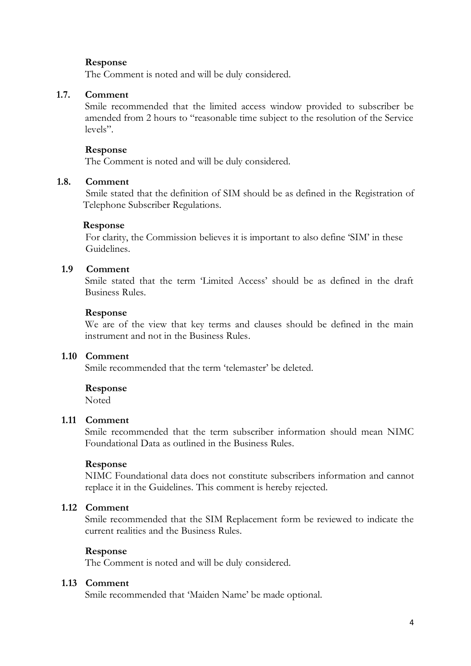# **Response**

The Comment is noted and will be duly considered.

#### **1.7. Comment**

Smile recommended that the limited access window provided to subscriber be amended from 2 hours to "reasonable time subject to the resolution of the Service levels".

#### **Response**

The Comment is noted and will be duly considered.

#### **1.8. Comment**

Smile stated that the definition of SIM should be as defined in the Registration of Telephone Subscriber Regulations.

#### **Response**

For clarity, the Commission believes it is important to also define 'SIM' in these Guidelines.

#### **1.9 Comment**

Smile stated that the term 'Limited Access' should be as defined in the draft Business Rules.

#### **Response**

We are of the view that key terms and clauses should be defined in the main instrument and not in the Business Rules.

#### **1.10 Comment**

Smile recommended that the term 'telemaster' be deleted.

#### **Response**

**Noted** 

# **1.11 Comment**

Smile recommended that the term subscriber information should mean NIMC Foundational Data as outlined in the Business Rules.

#### **Response**

NIMC Foundational data does not constitute subscribers information and cannot replace it in the Guidelines. This comment is hereby rejected.

# **1.12 Comment**

Smile recommended that the SIM Replacement form be reviewed to indicate the current realities and the Business Rules.

#### **Response**

The Comment is noted and will be duly considered.

#### **1.13 Comment**

Smile recommended that 'Maiden Name' be made optional.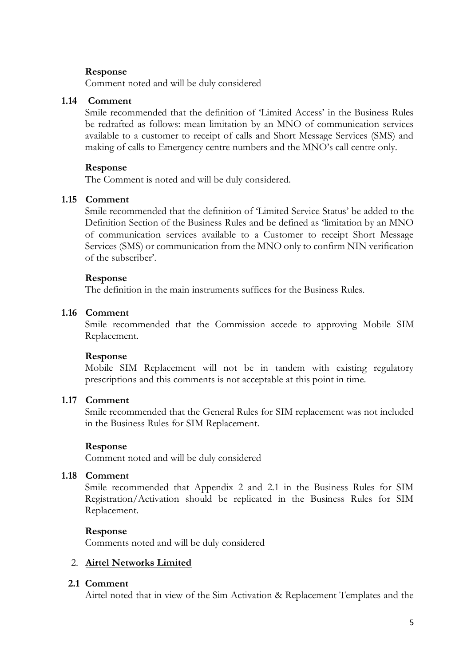#### **Response**

Comment noted and will be duly considered

#### **1.14 Comment**

Smile recommended that the definition of 'Limited Access' in the Business Rules be redrafted as follows: mean limitation by an MNO of communication services available to a customer to receipt of calls and Short Message Services (SMS) and making of calls to Emergency centre numbers and the MNO's call centre only.

#### **Response**

The Comment is noted and will be duly considered.

# **1.15 Comment**

Smile recommended that the definition of 'Limited Service Status' be added to the Definition Section of the Business Rules and be defined as 'limitation by an MNO of communication services available to a Customer to receipt Short Message Services (SMS) or communication from the MNO only to confirm NIN verification of the subscriber'.

#### **Response**

The definition in the main instruments suffices for the Business Rules.

# **1.16 Comment**

Smile recommended that the Commission accede to approving Mobile SIM Replacement.

# **Response**

Mobile SIM Replacement will not be in tandem with existing regulatory prescriptions and this comments is not acceptable at this point in time.

# **1.17 Comment**

Smile recommended that the General Rules for SIM replacement was not included in the Business Rules for SIM Replacement.

#### **Response**

Comment noted and will be duly considered

#### **1.18 Comment**

Smile recommended that Appendix 2 and 2.1 in the Business Rules for SIM Registration/Activation should be replicated in the Business Rules for SIM Replacement.

# **Response**

Comments noted and will be duly considered

# 2. **Airtel Networks Limited**

# **2.1 Comment**

Airtel noted that in view of the Sim Activation & Replacement Templates and the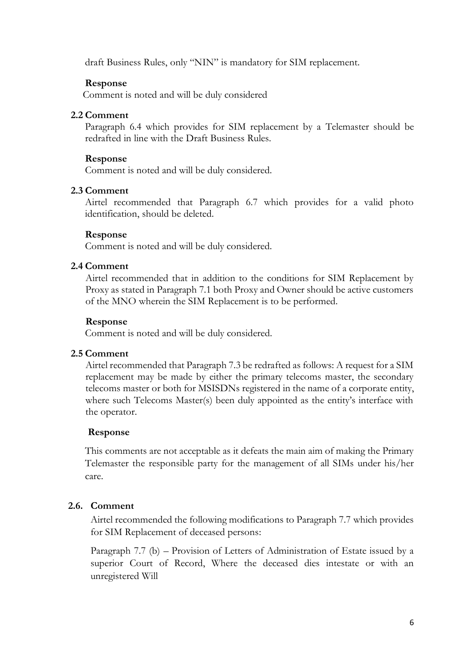draft Business Rules, only "NIN" is mandatory for SIM replacement.

# **Response**

Comment is noted and will be duly considered

# **2.2 Comment**

Paragraph 6.4 which provides for SIM replacement by a Telemaster should be redrafted in line with the Draft Business Rules.

# **Response**

Comment is noted and will be duly considered.

# **2.3 Comment**

Airtel recommended that Paragraph 6.7 which provides for a valid photo identification, should be deleted.

#### **Response**

Comment is noted and will be duly considered.

# **2.4 Comment**

Airtel recommended that in addition to the conditions for SIM Replacement by Proxy as stated in Paragraph 7.1 both Proxy and Owner should be active customers of the MNO wherein the SIM Replacement is to be performed.

#### **Response**

Comment is noted and will be duly considered.

# **2.5 Comment**

Airtel recommended that Paragraph 7.3 be redrafted as follows: A request for a SIM replacement may be made by either the primary telecoms master, the secondary telecoms master or both for MSISDNs registered in the name of a corporate entity, where such Telecoms Master(s) been duly appointed as the entity's interface with the operator.

# **Response**

This comments are not acceptable as it defeats the main aim of making the Primary Telemaster the responsible party for the management of all SIMs under his/her care.

# **2.6. Comment**

Airtel recommended the following modifications to Paragraph 7.7 which provides for SIM Replacement of deceased persons:

Paragraph 7.7 (b) – Provision of Letters of Administration of Estate issued by a superior Court of Record, Where the deceased dies intestate or with an unregistered Will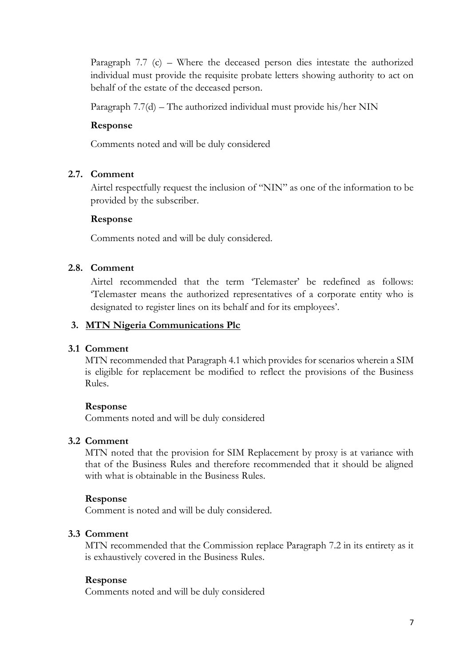Paragraph 7.7 (c) – Where the deceased person dies intestate the authorized individual must provide the requisite probate letters showing authority to act on behalf of the estate of the deceased person.

Paragraph 7.7(d) – The authorized individual must provide his/her NIN

# **Response**

Comments noted and will be duly considered

# **2.7. Comment**

Airtel respectfully request the inclusion of "NIN" as one of the information to be provided by the subscriber.

# **Response**

Comments noted and will be duly considered.

# **2.8. Comment**

Airtel recommended that the term 'Telemaster' be redefined as follows: 'Telemaster means the authorized representatives of a corporate entity who is designated to register lines on its behalf and for its employees'.

# **3. MTN Nigeria Communications Plc**

# **3.1 Comment**

MTN recommended that Paragraph 4.1 which provides for scenarios wherein a SIM is eligible for replacement be modified to reflect the provisions of the Business Rules.

# **Response**

Comments noted and will be duly considered

# **3.2 Comment**

MTN noted that the provision for SIM Replacement by proxy is at variance with that of the Business Rules and therefore recommended that it should be aligned with what is obtainable in the Business Rules.

# **Response**

Comment is noted and will be duly considered.

# **3.3 Comment**

MTN recommended that the Commission replace Paragraph 7.2 in its entirety as it is exhaustively covered in the Business Rules.

# **Response**

Comments noted and will be duly considered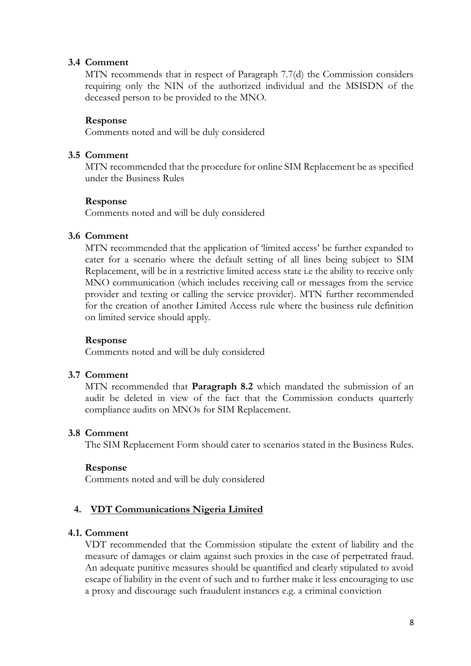# **3.4 Comment**

MTN recommends that in respect of Paragraph 7.7(d) the Commission considers requiring only the NIN of the authorized individual and the MSISDN of the deceased person to be provided to the MNO.

#### **Response**

Comments noted and will be duly considered

#### **3.5 Comment**

MTN recommended that the procedure for online SIM Replacement be as specified under the Business Rules

#### **Response**

Comments noted and will be duly considered

#### **3.6 Comment**

MTN recommended that the application of 'limited access' be further expanded to cater for a scenario where the default setting of all lines being subject to SIM Replacement, will be in a restrictive limited access state i.e the ability to receive only MNO communication (which includes receiving call or messages from the service provider and texting or calling the service provider). MTN further recommended for the creation of another Limited Access rule where the business rule definition on limited service should apply.

# **Response**

Comments noted and will be duly considered

# **3.7 Comment**

MTN recommended that **Paragraph 8.2** which mandated the submission of an audit be deleted in view of the fact that the Commission conducts quarterly compliance audits on MNOs for SIM Replacement.

# **3.8 Comment**

The SIM Replacement Form should cater to scenarios stated in the Business Rules.

#### **Response**

Comments noted and will be duly considered

# **4. VDT Communications Nigeria Limited**

#### **4.1. Comment**

VDT recommended that the Commission stipulate the extent of liability and the measure of damages or claim against such proxies in the case of perpetrated fraud. An adequate punitive measures should be quantified and clearly stipulated to avoid escape of liability in the event of such and to further make it less encouraging to use a proxy and discourage such fraudulent instances e.g. a criminal conviction